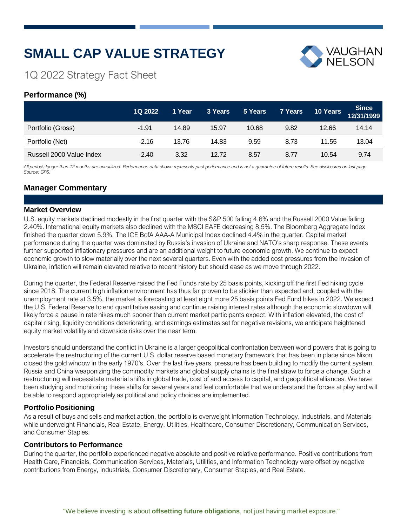# **SMALL CAP VALUE STRATEGY**



# 1Q 2022 Strategy Fact Sheet

# **Performance (%)**

|                          | 1Q 2022 | 1 Year | 3 Years | 5 Years | 7 Years | 10 Years | <b>Since</b><br>12/31/1999 |
|--------------------------|---------|--------|---------|---------|---------|----------|----------------------------|
| Portfolio (Gross)        | $-1.91$ | 14.89  | 15.97   | 10.68   | 9.82    | 12.66    | 14.14                      |
| Portfolio (Net)          | $-2.16$ | 13.76  | 14.83   | 9.59    | 8.73    | 11.55    | 13.04                      |
| Russell 2000 Value Index | $-2.40$ | 3.32   | 12.72   | 8.57    | 8.77    | 10.54    | 9.74                       |

All periods longer than 12 months are annualized. Performance data shown represents past performance and is not a guarantee of future results. See disclosures on last page. *Source: GPS.*

# **Manager Commentary**

## **Market Overview**

U.S. equity markets declined modestly in the first quarter with the S&P 500 falling 4.6% and the Russell 2000 Value falling 2.40%. International equity markets also declined with the MSCI EAFE decreasing 8.5%. The Bloomberg Aggregate Index finished the quarter down 5.9%. The ICE BofA AAA-A Municipal Index declined 4.4% in the quarter. Capital market performance during the quarter was dominated by Russia's invasion of Ukraine and NATO's sharp response. These events further supported inflationary pressures and are an additional weight to future economic growth. We continue to expect economic growth to slow materially over the next several quarters. Even with the added cost pressures from the invasion of Ukraine, inflation will remain elevated relative to recent history but should ease as we move through 2022.

During the quarter, the Federal Reserve raised the Fed Funds rate by 25 basis points, kicking off the first Fed hiking cycle since 2018. The current high inflation environment has thus far proven to be stickier than expected and, coupled with the unemployment rate at 3.5%, the market is forecasting at least eight more 25 basis points Fed Fund hikes in 2022. We expect the U.S. Federal Reserve to end quantitative easing and continue raising interest rates although the economic slowdown will likely force a pause in rate hikes much sooner than current market participants expect. With inflation elevated, the cost of capital rising, liquidity conditions deteriorating, and earnings estimates set for negative revisions, we anticipate heightened equity market volatility and downside risks over the near term.

Investors should understand the conflict in Ukraine is a larger geopolitical confrontation between world powers that is going to accelerate the restructuring of the current U.S. dollar reserve based monetary framework that has been in place since Nixon closed the gold window in the early 1970's. Over the last five years, pressure has been building to modify the current system. Russia and China weaponizing the commodity markets and global supply chains is the final straw to force a change. Such a restructuring will necessitate material shifts in global trade, cost of and access to capital, and geopolitical alliances. We have been studying and monitoring these shifts for several years and feel comfortable that we understand the forces at play and will be able to respond appropriately as political and policy choices are implemented.

## **Portfolio Positioning**

As a result of buys and sells and market action, the portfolio is overweight Information Technology, Industrials, and Materials while underweight Financials, Real Estate, Energy, Utilities, Healthcare, Consumer Discretionary, Communication Services, and Consumer Staples.

## **Contributors to Performance**

During the quarter, the portfolio experienced negative absolute and positive relative performance. Positive contributions from Health Care, Financials, Communication Services, Materials, Utilities, and Information Technology were offset by negative contributions from Energy, Industrials, Consumer Discretionary, Consumer Staples, and Real Estate.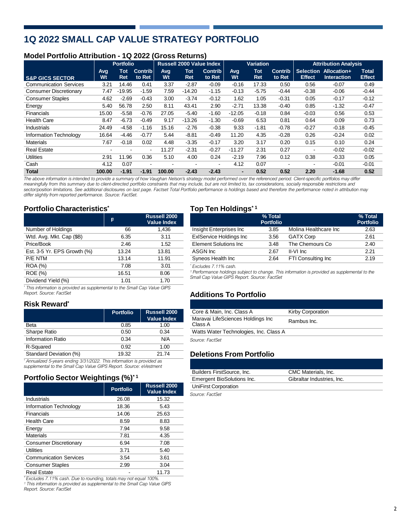# **1Q 2022 SMALL CAP VALUE STRATEGY PORTFOLIO**

# **Model Portfolio Attribution - 1Q 2022 (Gross Returns)**

|                               | <b>Portfolio</b> |                          |                          | <b>Russell 2000 Value Index</b> |            | <b>Variation</b>         |                   |                   | <b>Attribution Analysis</b> |                                   |                                   |                               |
|-------------------------------|------------------|--------------------------|--------------------------|---------------------------------|------------|--------------------------|-------------------|-------------------|-----------------------------|-----------------------------------|-----------------------------------|-------------------------------|
| <b>S&amp;P GICS SECTOR</b>    | Avg<br>Wt        | Tot<br><b>Ret</b>        | <b>Contrib</b><br>to Ret | Avg<br>Wt                       | Tot<br>Ret | <b>Contrib</b><br>to Ret | <b>Avg.</b><br>Wt | Tot<br><b>Ret</b> | <b>Contrib</b><br>to Ret    | <b>Selection</b><br><b>Effect</b> | Allocation+<br><b>Interaction</b> | <b>Total</b><br><b>Effect</b> |
| <b>Communication Services</b> | 3.21             | 14.46                    | 0.41                     | 3.37                            | $-2.87$    | $-0.09$                  | $-0.16$           | 17.33             | 0.50                        | 0.56                              | $-0.07$                           | 0.49                          |
| <b>Consumer Discretionary</b> | 7.47             | $-19.95$                 | $-1.59$                  | 7.59                            | $-14.20$   | $-1.15$                  | $-0.13$           | $-5.75$           | $-0.44$                     | $-0.38$                           | $-0.06$                           | $-0.44$                       |
| <b>Consumer Staples</b>       | 4.62             | $-2.69$                  | $-0.43$                  | 3.00                            | $-3.74$    | $-0.12$                  | 1.62              | 1.05              | $-0.31$                     | 0.05                              | $-0.17$                           | $-0.12$                       |
| Energy                        | 5.40             | 56.78                    | 2.50                     | 8.11                            | 43.41      | 2.90                     | $-2.71$           | 13.38             | $-0.40$                     | 0.85                              | $-1.32$                           | $-0.47$                       |
| <b>Financials</b>             | 15.00            | $-5.58$                  | $-0.76$                  | 27.05                           | $-5.40$    | $-1.60$                  | $-12.05$          | $-0.18$           | 0.84                        | $-0.03$                           | 0.56                              | 0.53                          |
| <b>Health Care</b>            | 8.47             | $-6.73$                  | $-0.49$                  | 9.17                            | $-13.26$   | $-1.30$                  | $-0.69$           | 6.53              | 0.81                        | 0.64                              | 0.09                              | 0.73                          |
| Industrials                   | 24.49            | $-4.58$                  | $-1.16$                  | 15.16                           | $-2.76$    | $-0.38$                  | 9.33              | $-1.81$           | $-0.78$                     | $-0.27$                           | $-0.18$                           | $-0.45$                       |
| Information Technology        | 16.64            | $-4.46$                  | $-0.77$                  | 5.44                            | $-8.81$    | $-0.49$                  | 11.20             | 4.35              | $-0.28$                     | 0.26                              | $-0.24$                           | 0.02                          |
| <b>Materials</b>              | 7.67             | $-0.18$                  | 0.02                     | 4.48                            | $-3.35$    | $-0.17$                  | 3.20              | 3.17              | 0.20                        | 0.15                              | 0.10                              | 0.24                          |
| <b>Real Estate</b>            | -                | $\overline{\phantom{0}}$ | $\blacksquare$           | 11.27                           | $-2.31$    | $-0.27$                  | $-11.27$          | 2.31              | 0.27                        | $\overline{\phantom{a}}$          | $-0.02$                           | $-0.02$                       |
| <b>Utilities</b>              | 2.91             | 11.96                    | 0.36                     | 5.10                            | 4.00       | 0.24                     | $-2.19$           | 7.96              | 0.12                        | 0.38                              | $-0.33$                           | 0.05                          |
| Cash                          | 4.12             | 0.07                     | $\overline{\phantom{a}}$ |                                 |            | $\overline{\phantom{0}}$ | 4.12              | 0.07              | $\overline{\phantom{0}}$    | $\overline{\phantom{a}}$          | $-0.01$                           | $-0.01$                       |
| <b>Total</b>                  | 100.00           | $-1.91$                  | $-1.91$                  | 100.00                          | $-2.43$    | $-2.43$                  | $\blacksquare$    | 0.52              | 0.52                        | 2.20                              | $-1.68$                           | 0.52                          |

The above information is intended to provide a summary of how Vaughan Nelson's strategy model performed over the referenced period. Client-specific portfolios may differ meaningfully from this summary due to client-directed portfolio constraints that may include, but are not limited to, tax considerations, socially responsible restrictions and sector/position limitations. See additional disclosures on last page. Factset Total Portfolio performance is holdings based and therefore the performance noted in attribution may *differ slightly from reported performance. Source: FactSet.*

## **Portfolio Characteristics\* Top Ten Holdings\* <sup>1</sup>**

*Report. Source: FactSet*

**Risk Reward\***

|                                                                             | P     | <b>Russell 2000</b><br><b>Value Index</b> |
|-----------------------------------------------------------------------------|-------|-------------------------------------------|
| Number of Holdings                                                          | 66    | 1,436                                     |
| Wtd. Avg. Mkt. Cap (\$B)                                                    | 6.35  | 3.11                                      |
| Price/Book                                                                  | 2.46  | 1.52                                      |
| Est. 3-5 Yr. EPS Growth (%)                                                 | 13.24 | 13.81                                     |
| P/E NTM                                                                     | 13.14 | 11.91                                     |
| <b>ROA</b> (%)                                                              | 7.08  | 3.01                                      |
| <b>ROE</b> (%)                                                              | 16.51 | 8.06                                      |
| Dividend Yield (%)                                                          | 1.01  | 1.70                                      |
| * This information is provided as supplemental to the Small Cap Value GIPS. |       |                                           |

|                             |       | Russell 2000<br>Value Index |                                | % Total<br><b>Portfolio</b> |                       | % Total<br><b>Portfolio</b> |
|-----------------------------|-------|-----------------------------|--------------------------------|-----------------------------|-----------------------|-----------------------------|
| Number of Holdings          | 66    | 1.436                       | Insight Enterprises Inc        | 3.85                        | Molina Healthcare Inc | 2.63                        |
| Wtd. Avg. Mkt. Cap (\$B)    | 6.35  | 3.11                        | <b>ExIService Holdings Inc</b> | 3.56                        | <b>GATX Corp</b>      | 2.61                        |
| Price/Book                  | 2.46  | 1.52                        | Element Solutions Inc          | 3.48                        | The Chemours Co       | 2.40                        |
| Est. 3-5 Yr. EPS Growth (%) | 13.24 | 13.81                       | ASGN Inc                       | 2.67                        | II-VI Inc             | 2.21                        |
| P/E NTM                     | 13.14 | 11.91                       | Syneos Health Inc              | 2.64                        | FTI Consulting Inc    | 2.19                        |
|                             |       |                             |                                |                             |                       |                             |

 $*$  Excludes 7.11% cash.

<sup>1</sup> Performance holdings subject to change. This information is provided as supplemental to the<br>Small Cap Value GIPS Report. Source: FactSet

# **Additions To Portfolio**

| Russell 2000 | Core & Main, Inc. Class A              | <b>Kirby Corporation</b> |
|--------------|----------------------------------------|--------------------------|
| Value Index  | Maravai LifeSciences Holdings Inc      | Rambus Inc.              |
| 1.00         | Class A                                |                          |
| 0.34         | Watts Water Technologies, Inc. Class A |                          |
| N/A          | Source: FactSet                        |                          |

# $Deletions$  **From** Portfolio

| Builders FirstSource, Inc. | CMC Materials, Inc.        |
|----------------------------|----------------------------|
| Emergent BioSolutions Inc. | Gibraltar Industries, Inc. |
| UniFirst Corporation       |                            |
|                            |                            |

*Source: FactSet*

**Portfolio** | Russell **2000** 

|                        |       | Value Index | Maravai LifeSciences Holdings Inc      |
|------------------------|-------|-------------|----------------------------------------|
| Beta                   | 0.85  | 1.00        | Class A                                |
| Sharpe Ratio           | 0.50  | 0.34        | Watts Water Technologies, Inc. Class A |
| Information Ratio      | 0.34  | N/A         | Source: FactSet                        |
| R-Squared              | 0.92  | 1.00        |                                        |
| Standard Deviation (%) | 19.32 | 21.74       | <b>Deletions From Portfolio</b>        |

\* Annualized 5-years ending 3/31/2022. This information is provided as<br>supplemental to the Small Cap Value GIPS Report. Source: eVestment

# **Portfolio Sector Weightings (%)\* <sup>1</sup>**

|                               | <b>Portfolio</b> | <b>Russell 2000</b><br><b>Value Index</b> |
|-------------------------------|------------------|-------------------------------------------|
| Industrials                   | 26.08            | 15.32                                     |
| <b>Information Technology</b> | 18.36            | 5.43                                      |
| Financials                    | 14.06            | 25.63                                     |
| <b>Health Care</b>            | 8.59             | 8.83                                      |
| Energy                        | 7.94             | 9.58                                      |
| <b>Materials</b>              | 7.81             | 4.35                                      |
| Consumer Discretionary        | 6.94             | 7.08                                      |
| Utilities                     | 3.71             | 5.40                                      |
| <b>Communication Services</b> | 3.54             | 3.61                                      |
| <b>Consumer Staples</b>       | 2.99             | 3.04                                      |
| Real Estate                   |                  | 11.73                                     |

*\* Excludes 7.11% cash. Due to rounding, totals may not equal 100%.*

*<sup>1</sup> This information is provided as supplemental to the Small Cap Value GIPS Report. Source: FactSet*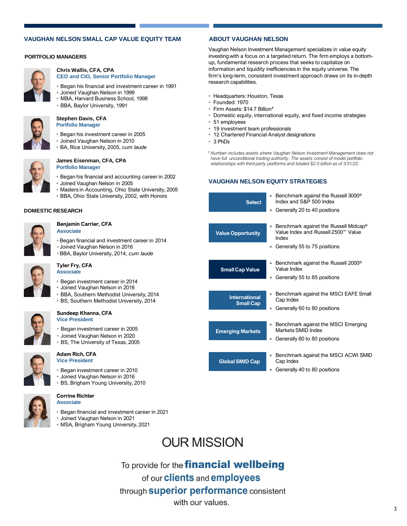### **VAUGHAN NELSON SMALL CAP VALUE EQUITY TEAM ABOUT VAUGHAN NELSON**

### **PORTFOLIO MANAGERS**



#### **Chris Wallis, CFA, CPA CEO and CIO, Senior Portfolio Manager**

- Began his financial and investment career in 1991
- Joined Vaughan Nelson in 1999
- MBA, Harvard Business School, 1998 • BBA, Baylor University, 1991

#### **Stephen Davis, CFA Portfolio Manager**

- Began his investment career in 2005
- Joined Vaughan Nelson in 2010
- BA, Rice University, 2005, *cum laude*



#### **James Eisenman, CFA, CPA Portfolio Manager**

- Began his financial and accounting career in 2002
- Joined Vaughan Nelson in 2005
- Masters in Accounting, Ohio State University, 2005
- BBA, Ohio State University, 2002, with Honors

### **DOMESTIC RESEARCH**



#### **Benjamin Carrier, CFA Associate**

**Tyler Fry, CFA**

- Began financial and investment career in 2014
- Joined Vaughan Nelson in 2016
- BBA, Baylor University, 2014, *cum laude*

**Associate**

**Sundeep Khanna, CFA Vice President**

- Began investment career in 2014
- Joined Vaughan Nelson in 2016

• Began investment career in 2005 • Joined Vaughan Nelson in 2020 • BS, The University of Texas, 2005

- BBA, Southern Methodist University, 2014
- BS, Southern Methodist University, 2014

# **Adam Rich, CFA**

- **Vice President**
- Began investment career in 2010
- Joined Vaughan Nelson in 2016
- BS, Brigham Young University, 2010

### **Corrine Richter Associate**

- Began financial and investment career in 2021
- Joined Vaughan Nelson in 2021
- MSA, Brigham Young University, 2021

Vaughan Nelson Investment Management specializes in value equity investingwith a focus on a targeted return. The firm employs a bottomup, fundamental research process that seeks to capitalize on information and liquidity inefficiencies in the equity universe. The firm's long-term, consistent investment approach draws on its in-depth research capabilities.

- Headquarters: Houston, Texas
- Founded: 1970
- Firm Assets: \$14.7 Billion\*
- Domestic equity, international equity, and fixed income strategies
- 51 employees
- 19 investment team professionals
- 12 Chartered Financial Analyst designations
- 3 PhDs

*\* Number includes assets where Vaughan Nelson Investment Management does not have full unconditional trading authority. The assets consist of model portfolio relationships with third-party platforms and totaled \$2.0 billion as of 3/31/22.*

### **VAUGHAN NELSON EQUITY STRATEGIES**

| <b>Select</b>                            | Benchmark against the Russell 3000 <sup>®</sup><br>Index and S&P 500 Index<br>Generally 20 to 40 positions<br>۰                   |
|------------------------------------------|-----------------------------------------------------------------------------------------------------------------------------------|
| <b>Value Opportunity</b>                 | Benchmark against the Russell Midcap <sup>®</sup><br>Value Index and Russell 2500™ Value<br>Index<br>Generally 55 to 75 positions |
| <b>Small Cap Value</b>                   | Benchmark against the Russell 2000 <sup>®</sup><br>Value Index                                                                    |
|                                          | Generally 55 to 85 positions                                                                                                      |
| <b>International</b><br><b>Small Cap</b> | Benchmark against the MSCI EAFE Small<br>Cap Index<br>Generally 60 to 80 positions<br>۰                                           |
| <b>Emerging Markets</b>                  | Benchmark against the MSCI Emerging<br>Markets SMID Index<br>Generally 60 to 80 positions<br>۰                                    |
| <b>Global SMID Cap</b>                   | Benchmark against the MSCI ACWI SMID<br>Cap Index<br>Generally 40 to 80 positions<br>٠                                            |

# **OUR MISSION**

To provide for the financial wellbeing of our **clients** and **employees** through superior performance consistent with our values.

3